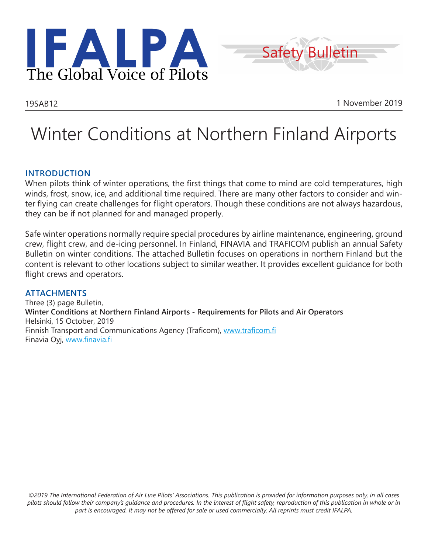



19SAB12 1 November 2019

# Winter Conditions at Northern Finland Airports

## **INTRODUCTION**

When pilots think of winter operations, the first things that come to mind are cold temperatures, high winds, frost, snow, ice, and additional time required. There are many other factors to consider and winter flying can create challenges for flight operators. Though these conditions are not always hazardous, they can be if not planned for and managed properly.

Safe winter operations normally require special procedures by airline maintenance, engineering, ground crew, flight crew, and de-icing personnel. In Finland, FINAVIA and TRAFICOM publish an annual Safety Bulletin on winter conditions. The attached Bulletin focuses on operations in northern Finland but the content is relevant to other locations subject to similar weather. It provides excellent guidance for both flight crews and operators.

### **ATTACHMENTS**

Three (3) page Bulletin, **Winter Conditions at Northern Finland Airports - Requirements for Pilots and Air Operators** Helsinki, 15 October, 2019 Finnish Transport and Communications Agency (Traficom), www.traficom.fi Finavia Oyj, www.finavia.fi

*©2019 The International Federation of Air Line Pilots' Associations. This publication is provided for information purposes only, in all cases pilots should follow their company's guidance and procedures. In the interest of flight safety, reproduction of this publication in whole or in part is encouraged. It may not be offered for sale or used commercially. All reprints must credit IFALPA.*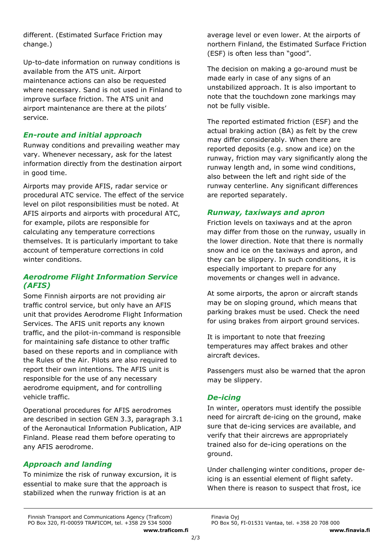different. (Estimated Surface Friction may change.)

Up-to-date information on runway conditions is available from the ATS unit. Airport maintenance actions can also be requested where necessary. Sand is not used in Finland to improve surface friction. The ATS unit and airport maintenance are there at the pilots' service.

## *En-route and initial approach*

Runway conditions and prevailing weather may vary. Whenever necessary, ask for the latest information directly from the destination airport in good time.

Airports may provide AFIS, radar service or procedural ATC service. The effect of the service level on pilot responsibilities must be noted. At AFIS airports and airports with procedural ATC, for example, pilots are responsible for calculating any temperature corrections themselves. It is particularly important to take account of temperature corrections in cold winter conditions.

## *Aerodrome Flight Information Service (AFIS)*

Some Finnish airports are not providing air traffic control service, but only have an AFIS unit that provides Aerodrome Flight Information Services. The AFIS unit reports any known traffic, and the pilot-in-command is responsible for maintaining safe distance to other traffic based on these reports and in compliance with the Rules of the Air. Pilots are also required to report their own intentions. The AFIS unit is responsible for the use of any necessary aerodrome equipment, and for controlling vehicle traffic.

Operational procedures for AFIS aerodromes are described in section GEN 3.3, paragraph 3.1 of the Aeronautical Information Publication, AIP Finland. Please read them before operating to any AFIS aerodrome.

# *Approach and landing*

To minimize the risk of runway excursion, it is essential to make sure that the approach is stabilized when the runway friction is at an

average level or even lower. At the airports of northern Finland, the Estimated Surface Friction (ESF) is often less than "good".

The decision on making a go-around must be made early in case of any signs of an unstabilized approach. It is also important to note that the touchdown zone markings may not be fully visible.

The reported estimated friction (ESF) and the actual braking action (BA) as felt by the crew may differ considerably. When there are reported deposits (e.g. snow and ice) on the runway, friction may vary significantly along the runway length and, in some wind conditions, also between the left and right side of the runway centerline. Any significant differences are reported separately.

## *Runway, taxiways and apron*

Friction levels on taxiways and at the apron may differ from those on the runway, usually in the lower direction. Note that there is normally snow and ice on the taxiways and apron, and they can be slippery. In such conditions, it is especially important to prepare for any movements or changes well in advance.

At some airports, the apron or aircraft stands may be on sloping ground, which means that parking brakes must be used. Check the need for using brakes from airport ground services.

It is important to note that freezing temperatures may affect brakes and other aircraft devices.

Passengers must also be warned that the apron may be slippery.

## *De-icing*

In winter, operators must identify the possible need for aircraft de-icing on the ground, make sure that de-icing services are available, and verify that their aircrews are appropriately trained also for de-icing operations on the ground.

Under challenging winter conditions, proper deicing is an essential element of flight safety. When there is reason to suspect that frost, ice

Finnish Transport and Communications Agency (Traficom)<br>PO Box 320, FI-00059 TRAFICOM, tel. +358 29 534 5000 PO Box 50, FI-01531 Vantaa, tel. +358 20 708 000 PO Box 320, FI-00059 TRAFICOM, tel. +358 29 534 5000